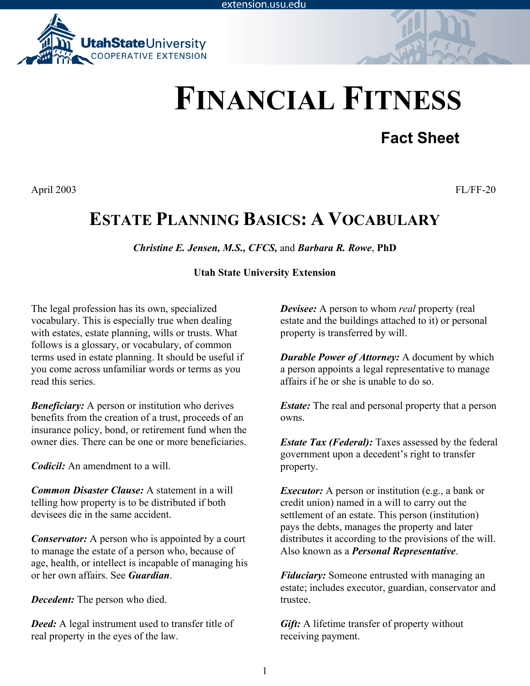extension.usu.edu



# **FINANCIAL FITNESS**

## **Fact Sheet**

April 2003 FL/FF-20

## **ESTATE PLANNING BASICS: A VOCABULARY**

*Christine E. Jensen, M.S., CFCS,* and *Barbara R. Rowe*, **PhD**

#### **Utah State University Extension**

The legal profession has its own, specialized vocabulary. This is especially true when dealing with estates, estate planning, wills or trusts. What follows is a glossary, or vocabulary, of common terms used in estate planning. It should be useful if you come across unfamiliar words or terms as you read this series.

*Beneficiary:* A person or institution who derives benefits from the creation of a trust, proceeds of an insurance policy, bond, or retirement fund when the owner dies. There can be one or more beneficiaries.

*Codicil:* An amendment to a will

*Common Disaster Clause:* A statement in a will telling how property is to be distributed if both devisees die in the same accident.

*Conservator:* A person who is appointed by a court to manage the estate of a person who, because of age, health, or intellect is incapable of managing his or her own affairs. See *Guardian*.

*Decedent:* The person who died.

*Deed:* A legal instrument used to transfer title of real property in the eyes of the law.

*Devisee:* A person to whom *real* property (real estate and the buildings attached to it) or personal property is transferred by will.

*Durable Power of Attorney:* A document by which a person appoints a legal representative to manage affairs if he or she is unable to do so.

*Estate:* The real and personal property that a person owns.

*Estate Tax (Federal):* Taxes assessed by the federal government upon a decedent's right to transfer property.

*Executor:* A person or institution (e.g., a bank or credit union) named in a will to carry out the settlement of an estate. This person (institution) pays the debts, manages the property and later distributes it according to the provisions of the will. Also known as a *Personal Representative*.

*Fiduciary:* Someone entrusted with managing an estate; includes executor, guardian, conservator and trustee.

*Gift:* A lifetime transfer of property without receiving payment.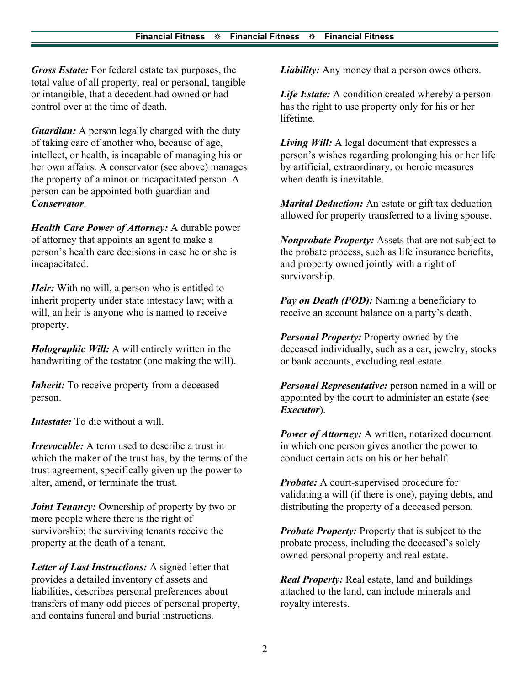*Gross Estate:* For federal estate tax purposes, the total value of all property, real or personal, tangible or intangible, that a decedent had owned or had control over at the time of death.

*Guardian:* A person legally charged with the duty of taking care of another who, because of age, intellect, or health, is incapable of managing his or her own affairs. A conservator (see above) manages the property of a minor or incapacitated person. A person can be appointed both guardian and *Conservator*.

*Health Care Power of Attorney:* A durable power of attorney that appoints an agent to make a person's health care decisions in case he or she is incapacitated.

*Heir*: With no will, a person who is entitled to inherit property under state intestacy law; with a will, an heir is anyone who is named to receive property.

*Holographic Will:* A will entirely written in the handwriting of the testator (one making the will).

*Inherit:* To receive property from a deceased person.

*Intestate:* To die without a will.

*Irrevocable:* A term used to describe a trust in which the maker of the trust has, by the terms of the trust agreement, specifically given up the power to alter, amend, or terminate the trust.

*Joint Tenancy:* Ownership of property by two or more people where there is the right of survivorship; the surviving tenants receive the property at the death of a tenant.

*Letter of Last Instructions:* A signed letter that provides a detailed inventory of assets and liabilities, describes personal preferences about transfers of many odd pieces of personal property, and contains funeral and burial instructions.

*Liability:* Any money that a person owes others.

*Life Estate:* A condition created whereby a person has the right to use property only for his or her lifetime.

*Living Will:* A legal document that expresses a person's wishes regarding prolonging his or her life by artificial, extraordinary, or heroic measures when death is inevitable.

*Marital Deduction:* An estate or gift tax deduction allowed for property transferred to a living spouse.

*Nonprobate Property:* Assets that are not subject to the probate process, such as life insurance benefits, and property owned jointly with a right of survivorship.

*Pay on Death (POD):* Naming a beneficiary to receive an account balance on a party's death.

*Personal Property:* Property owned by the deceased individually, such as a car, jewelry, stocks or bank accounts, excluding real estate.

*Personal Representative:* person named in a will or appointed by the court to administer an estate (see *Executor*).

*Power of Attorney:* A written, notarized document in which one person gives another the power to conduct certain acts on his or her behalf.

*Probate:* A court-supervised procedure for validating a will (if there is one), paying debts, and distributing the property of a deceased person.

*Probate Property:* Property that is subject to the probate process, including the deceased's solely owned personal property and real estate.

*Real Property:* Real estate, land and buildings attached to the land, can include minerals and royalty interests.